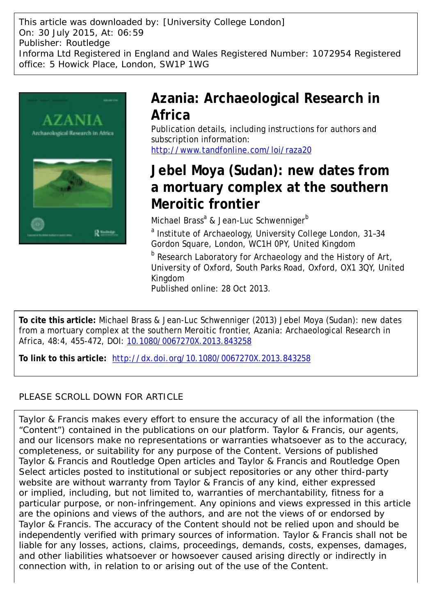This article was downloaded by: [University College London] On: 30 July 2015, At: 06:59 Publisher: Routledge Informa Ltd Registered in England and Wales Registered Number: 1072954 Registered office: 5 Howick Place, London, SW1P 1WG



# **Azania: Archaeological Research in Africa**

Publication details, including instructions for authors and subscription information: <http://www.tandfonline.com/loi/raza20>

# **Jebel Moya (Sudan): new dates from a mortuary complex at the southern Meroitic frontier**

Michael Brass<sup>a</sup> & Jean-Luc Schwenniger<sup>b</sup>

<sup>a</sup> Institute of Archaeology, University College London, 31-34 Gordon Square, London, WC1H 0PY, United Kingdom

**b** Research Laboratory for Archaeology and the History of Art, University of Oxford, South Parks Road, Oxford, OX1 3QY, United Kingdom

Published online: 28 Oct 2013.

**To cite this article:** Michael Brass & Jean-Luc Schwenniger (2013) Jebel Moya (Sudan): new dates from a mortuary complex at the southern Meroitic frontier, Azania: Archaeological Research in Africa, 48:4, 455-472, DOI: [10.1080/0067270X.2013.843258](http://www.tandfonline.com/action/showCitFormats?doi=10.1080/0067270X.2013.843258)

**To link to this article:** <http://dx.doi.org/10.1080/0067270X.2013.843258>

# PLEASE SCROLL DOWN FOR ARTICLE

Taylor & Francis makes every effort to ensure the accuracy of all the information (the "Content") contained in the publications on our platform. Taylor & Francis, our agents, and our licensors make no representations or warranties whatsoever as to the accuracy, completeness, or suitability for any purpose of the Content. Versions of published Taylor & Francis and Routledge Open articles and Taylor & Francis and Routledge Open Select articles posted to institutional or subject repositories or any other third-party website are without warranty from Taylor & Francis of any kind, either expressed or implied, including, but not limited to, warranties of merchantability, fitness for a particular purpose, or non-infringement. Any opinions and views expressed in this article are the opinions and views of the authors, and are not the views of or endorsed by Taylor & Francis. The accuracy of the Content should not be relied upon and should be independently verified with primary sources of information. Taylor & Francis shall not be liable for any losses, actions, claims, proceedings, demands, costs, expenses, damages, and other liabilities whatsoever or howsoever caused arising directly or indirectly in connection with, in relation to or arising out of the use of the Content.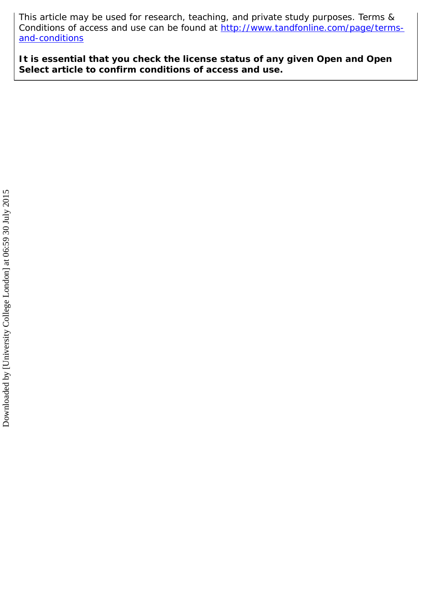This article may be used for research, teaching, and private study purposes. Terms & Conditions of access and use can be found at [http://www.tandfonline.com/page/terms](http://www.tandfonline.com/page/terms-and-conditions)[and-conditions](http://www.tandfonline.com/page/terms-and-conditions)

**It is essential that you check the license status of any given Open and Open Select article to confirm conditions of access and use.**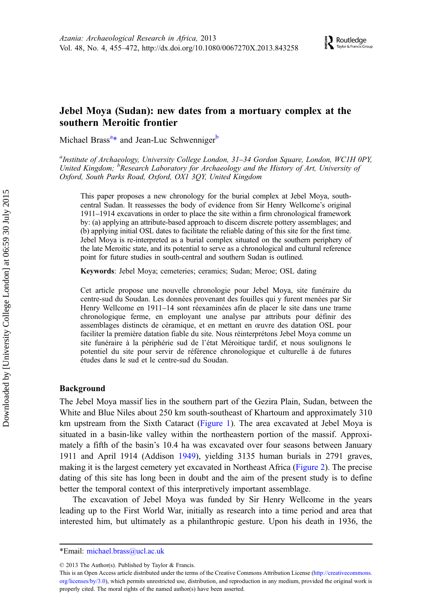# Jebel Moya (Sudan): new dates from a mortuary complex at the southern Meroitic frontier

Michael Brass<sup>a\*</sup> and Jean-Luc Schwenniger<sup>b</sup>

<sup>a</sup>Institute of Archaeology, University College London, 31–34 Gordon Square, London, WC1H 0PY, United Kingdom; <sup>b</sup>Research Laboratory for Archaeology and the History of Art, University of Oxford, South Parks Road, Oxford, OX1 3QY, United Kingdom

This paper proposes a new chronology for the burial complex at Jebel Moya, southcentral Sudan. It reassesses the body of evidence from Sir Henry Wellcome's original 1911–1914 excavations in order to place the site within a firm chronological framework by: (a) applying an attribute-based approach to discern discrete pottery assemblages; and (b) applying initial OSL dates to facilitate the reliable dating of this site for the first time. Jebel Moya is re-interpreted as a burial complex situated on the southern periphery of the late Meroitic state, and its potential to serve as a chronological and cultural reference point for future studies in south-central and southern Sudan is outlined.

Keywords: Jebel Moya; cemeteries; ceramics; Sudan; Meroe; OSL dating

Cet article propose une nouvelle chronologie pour Jebel Moya, site funéraire du centre-sud du Soudan. Les données provenant des fouilles qui y furent menées par Sir Henry Wellcome en 1911–14 sont réexaminées afin de placer le site dans une trame chronologique ferme, en employant une analyse par attributs pour définir des assemblages distincts de céramique, et en mettant en œuvre des datation OSL pour faciliter la première datation fiable du site. Nous réinterprétons Jebel Moya comme un site funéraire à la périphérie sud de l'état Méroitique tardif, et nous soulignons le potentiel du site pour servir de référence chronologique et culturelle à de futures études dans le sud et le centre-sud du Soudan.

#### Background

The Jebel Moya massif lies in the southern part of the Gezira Plain, Sudan, between the White and Blue Niles about 250 km south-southeast of Khartoum and approximately 310 km upstream from the Sixth Cataract ([Figure 1](#page-3-0)). The area excavated at Jebel Moya is situated in a basin-like valley within the northeastern portion of the massif. Approximately a fifth of the basin's 10.4 ha was excavated over four seasons between January 1911 and April 1914 (Addison [1949\)](#page-18-0), yielding 3135 human burials in 2791 graves, making it is the largest cemetery yet excavated in Northeast Africa ([Figure 2](#page-4-0)). The precise dating of this site has long been in doubt and the aim of the present study is to define better the temporal context of this interpretively important assemblage.

The excavation of Jebel Moya was funded by Sir Henry Wellcome in the years leading up to the First World War, initially as research into a time period and area that interested him, but ultimately as a philanthropic gesture. Upon his death in 1936, the

<sup>\*</sup>Email: [michael.brass@ucl.ac.uk](mailto:michael.brass@ucl.ac.uk)

<sup>© 2013</sup> The Author(s). Published by Taylor & Francis.

This is an Open Access article distributed under the terms of the Creative Commons Attribution License [\(http://creativecommons.](http://creativecommons.org/licenses/by/3.0) [org/licenses/by/3.0\), which permits unrestricted use, distribution, and reproduction in any medium, provided the original work is](http://creativecommons.org/licenses/by/3.0) [properly cited. The moral rights of the named author\(s\) have been asserted.](http://creativecommons.org/licenses/by/3.0)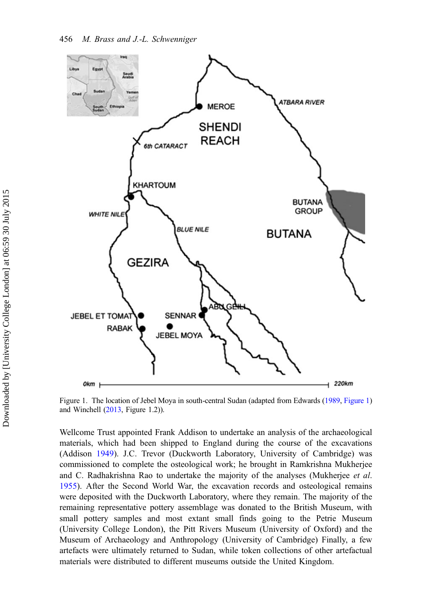<span id="page-3-0"></span>

Figure 1. The location of Jebel Moya in south-central Sudan (adapted from Edwards ([1989](#page-18-0), Figure 1) and Winchell [\(2013,](#page-19-0) Figure 1.2)).

Wellcome Trust appointed Frank Addison to undertake an analysis of the archaeological materials, which had been shipped to England during the course of the excavations (Addison [1949](#page-18-0)). J.C. Trevor (Duckworth Laboratory, University of Cambridge) was commissioned to complete the osteological work; he brought in Ramkrishna Mukherjee and C. Radhakrishna Rao to undertake the majority of the analyses (Mukherjee *et al.*) [1955\)](#page-19-0). After the Second World War, the excavation records and osteological remains were deposited with the Duckworth Laboratory, where they remain. The majority of the remaining representative pottery assemblage was donated to the British Museum, with small pottery samples and most extant small finds going to the Petrie Museum (University College London), the Pitt Rivers Museum (University of Oxford) and the Museum of Archaeology and Anthropology (University of Cambridge) Finally, a few artefacts were ultimately returned to Sudan, while token collections of other artefactual materials were distributed to different museums outside the United Kingdom.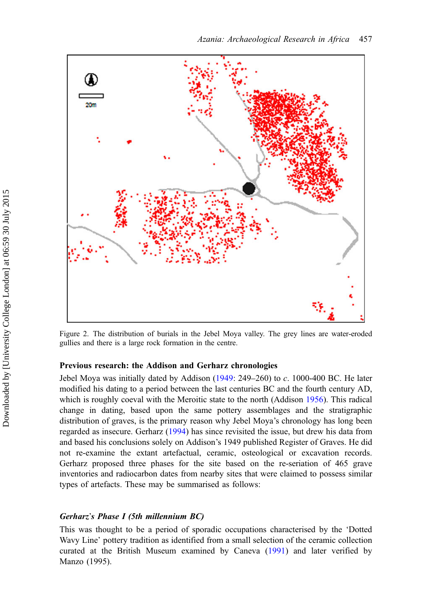Azania: Archaeological Research in Africa 457

<span id="page-4-0"></span>

Figure 2. The distribution of burials in the Jebel Moya valley. The grey lines are water-eroded gullies and there is a large rock formation in the centre.

# Previous research: the Addison and Gerharz chronologies

Jebel Moya was initially dated by Addison  $(1949: 249-260)$  $(1949: 249-260)$  to c. 1000-400 BC. He later modified his dating to a period between the last centuries BC and the fourth century AD, which is roughly coeval with the Meroitic state to the north (Addison [1956](#page-18-0)). This radical change in dating, based upon the same pottery assemblages and the stratigraphic distribution of graves, is the primary reason why Jebel Moya's chronology has long been regarded as insecure. Gerharz [\(1994](#page-18-0)) has since revisited the issue, but drew his data from and based his conclusions solely on Addison's 1949 published Register of Graves. He did not re-examine the extant artefactual, ceramic, osteological or excavation records. Gerharz proposed three phases for the site based on the re-seriation of 465 grave inventories and radiocarbon dates from nearby sites that were claimed to possess similar types of artefacts. These may be summarised as follows:

# Gerharz's Phase I (5th millennium BC)

This was thought to be a period of sporadic occupations characterised by the 'Dotted Wavy Line' pottery tradition as identified from a small selection of the ceramic collection curated at the British Museum examined by Caneva [\(1991](#page-18-0)) and later verified by Manzo (1995).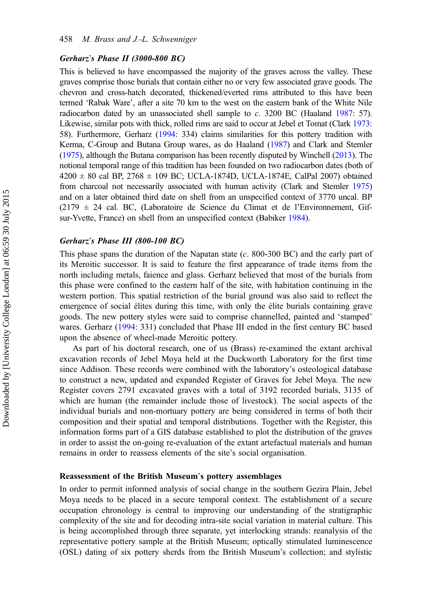## Gerharz's Phase II (3000-800 BC)

This is believed to have encompassed the majority of the graves across the valley. These graves comprise those burials that contain either no or very few associated grave goods. The chevron and cross-hatch decorated, thickened/everted rims attributed to this have been termed 'Rabak Ware', after a site 70 km to the west on the eastern bank of the White Nile radiocarbon dated by an unassociated shell sample to c. 3200 BC (Haaland [1987:](#page-18-0) 57). Likewise, similar pots with thick, rolled rims are said to occur at Jebel et Tomat (Clark [1973](#page-18-0): 58). Furthermore, Gerharz [\(1994](#page-18-0): 334) claims similarities for this pottery tradition with Kerma, C-Group and Butana Group wares, as do Haaland ([1987\)](#page-18-0) and Clark and Stemler [\(1975\)](#page-18-0), although the Butana comparison has been recently disputed by Winchell ([2013](#page-19-0)). The notional temporal range of this tradition has been founded on two radiocarbon dates (both of  $4200 \pm 80$  cal BP,  $2768 \pm 109$  BC; UCLA-1874D, UCLA-1874E, CalPal 2007) obtained from charcoal not necessarily associated with human activity (Clark and Stemler [1975\)](#page-18-0) and on a later obtained third date on shell from an unspecified context of 3770 uncal. BP  $(2179 \pm 24$  cal. BC, (Laboratoire de Science du Climat et de l'Environnement, Gifsur-Yvette, France) on shell from an unspecified context (Babiker [1984\)](#page-18-0).

## Gerharz's Phase III (800-100 BC)

This phase spans the duration of the Napatan state  $(c. 800-300 \text{ BC})$  and the early part of its Meroitic successor. It is said to feature the first appearance of trade items from the north including metals, faience and glass. Gerharz believed that most of the burials from this phase were confined to the eastern half of the site, with habitation continuing in the western portion. This spatial restriction of the burial ground was also said to reflect the emergence of social élites during this time, with only the élite burials containing grave goods. The new pottery styles were said to comprise channelled, painted and 'stamped' wares. Gerharz ([1994:](#page-18-0) 331) concluded that Phase III ended in the first century BC based upon the absence of wheel-made Meroitic pottery.

As part of his doctoral research, one of us (Brass) re-examined the extant archival excavation records of Jebel Moya held at the Duckworth Laboratory for the first time since Addison. These records were combined with the laboratory's osteological database to construct a new, updated and expanded Register of Graves for Jebel Moya. The new Register covers 2791 excavated graves with a total of 3192 recorded burials, 3135 of which are human (the remainder include those of livestock). The social aspects of the individual burials and non-mortuary pottery are being considered in terms of both their composition and their spatial and temporal distributions. Together with the Register, this information forms part of a GIS database established to plot the distribution of the graves in order to assist the on-going re-evaluation of the extant artefactual materials and human remains in order to reassess elements of the site's social organisation.

#### Reassessment of the British Museum's pottery assemblages

In order to permit informed analysis of social change in the southern Gezira Plain, Jebel Moya needs to be placed in a secure temporal context. The establishment of a secure occupation chronology is central to improving our understanding of the stratigraphic complexity of the site and for decoding intra-site social variation in material culture. This is being accomplished through three separate, yet interlocking strands: reanalysis of the representative pottery sample at the British Museum; optically stimulated luminescence (OSL) dating of six pottery sherds from the British Museum's collection; and stylistic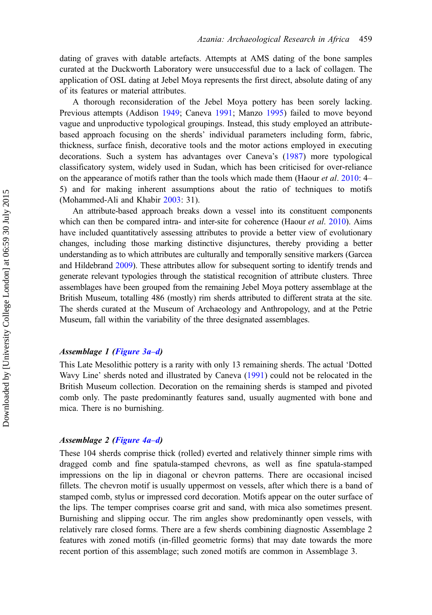dating of graves with datable artefacts. Attempts at AMS dating of the bone samples curated at the Duckworth Laboratory were unsuccessful due to a lack of collagen. The application of OSL dating at Jebel Moya represents the first direct, absolute dating of any of its features or material attributes.

A thorough reconsideration of the Jebel Moya pottery has been sorely lacking. Previous attempts (Addison [1949](#page-18-0); Caneva [1991;](#page-18-0) Manzo [1995](#page-19-0)) failed to move beyond vague and unproductive typological groupings. Instead, this study employed an attributebased approach focusing on the sherds' individual parameters including form, fabric, thickness, surface finish, decorative tools and the motor actions employed in executing decorations. Such a system has advantages over Caneva's [\(1987](#page-18-0)) more typological classificatory system, widely used in Sudan, which has been criticised for over-reliance on the appearance of motifs rather than the tools which made them (Haour *et al.* [2010:](#page-19-0) 4– 5) and for making inherent assumptions about the ratio of techniques to motifs (Mohammed-Ali and Khabir [2003:](#page-19-0) 31).

An attribute-based approach breaks down a vessel into its constituent components which can then be compared intra- and inter-site for coherence (Haour *et al.* [2010](#page-19-0)). Aims have included quantitatively assessing attributes to provide a better view of evolutionary changes, including those marking distinctive disjunctures, thereby providing a better understanding as to which attributes are culturally and temporally sensitive markers (Garcea and Hildebrand [2009\)](#page-18-0). These attributes allow for subsequent sorting to identify trends and generate relevant typologies through the statistical recognition of attribute clusters. Three assemblages have been grouped from the remaining Jebel Moya pottery assemblage at the British Museum, totalling 486 (mostly) rim sherds attributed to different strata at the site. The sherds curated at the Museum of Archaeology and Anthropology, and at the Petrie Museum, fall within the variability of the three designated assemblages.

# Assemblage 1 [\(Figure 3a](#page-7-0)–d)

This Late Mesolithic pottery is a rarity with only 13 remaining sherds. The actual 'Dotted Wavy Line' sherds noted and illustrated by Caneva [\(1991](#page-18-0)) could not be relocated in the British Museum collection. Decoration on the remaining sherds is stamped and pivoted comb only. The paste predominantly features sand, usually augmented with bone and mica. There is no burnishing.

# Assemblage 2 [\(Figure 4a](#page-8-0)–d)

These 104 sherds comprise thick (rolled) everted and relatively thinner simple rims with dragged comb and fine spatula-stamped chevrons, as well as fine spatula-stamped impressions on the lip in diagonal or chevron patterns. There are occasional incised fillets. The chevron motif is usually uppermost on vessels, after which there is a band of stamped comb, stylus or impressed cord decoration. Motifs appear on the outer surface of the lips. The temper comprises coarse grit and sand, with mica also sometimes present. Burnishing and slipping occur. The rim angles show predominantly open vessels, with relatively rare closed forms. There are a few sherds combining diagnostic Assemblage 2 features with zoned motifs (in-filled geometric forms) that may date towards the more recent portion of this assemblage; such zoned motifs are common in Assemblage 3.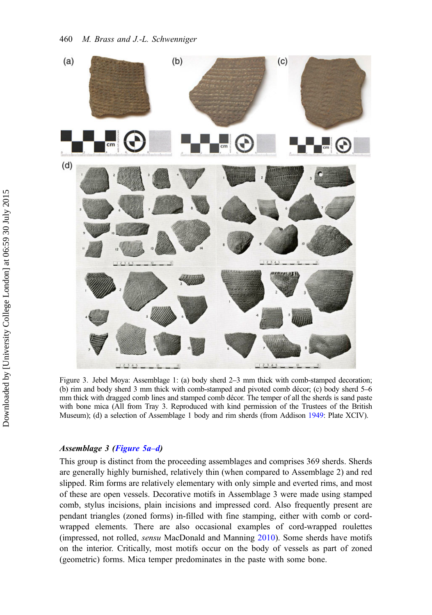<span id="page-7-0"></span>

Figure 3. Jebel Moya: Assemblage 1: (a) body sherd 2–3 mm thick with comb-stamped decoration; (b) rim and body sherd 3 mm thick with comb-stamped and pivoted comb décor; (c) body sherd 5–6 mm thick with dragged comb lines and stamped comb décor. The temper of all the sherds is sand paste with bone mica (All from Tray 3. Reproduced with kind permission of the Trustees of the British Museum); (d) a selection of Assemblage 1 body and rim sherds (from Addison [1949](#page-18-0): Plate XCIV).

# Assemblage 3 [\(Figure 5a](#page-9-0)–d)

This group is distinct from the proceeding assemblages and comprises 369 sherds. Sherds are generally highly burnished, relatively thin (when compared to Assemblage 2) and red slipped. Rim forms are relatively elementary with only simple and everted rims, and most of these are open vessels. Decorative motifs in Assemblage 3 were made using stamped comb, stylus incisions, plain incisions and impressed cord. Also frequently present are pendant triangles (zoned forms) in-filled with fine stamping, either with comb or cordwrapped elements. There are also occasional examples of cord-wrapped roulettes (impressed, not rolled, sensu MacDonald and Manning [2010](#page-19-0)). Some sherds have motifs on the interior. Critically, most motifs occur on the body of vessels as part of zoned (geometric) forms. Mica temper predominates in the paste with some bone.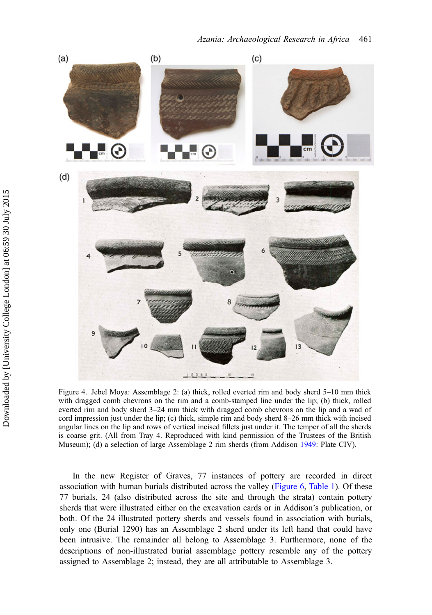<span id="page-8-0"></span>

Figure 4. Jebel Moya: Assemblage 2: (a) thick, rolled everted rim and body sherd 5–10 mm thick with dragged comb chevrons on the rim and a comb-stamped line under the lip; (b) thick, rolled everted rim and body sherd 3–24 mm thick with dragged comb chevrons on the lip and a wad of cord impression just under the lip; (c) thick, simple rim and body sherd 8–26 mm thick with incised angular lines on the lip and rows of vertical incised fillets just under it. The temper of all the sherds is coarse grit. (All from Tray 4. Reproduced with kind permission of the Trustees of the British Museum); (d) a selection of large Assemblage 2 rim sherds (from Addison [1949:](#page-18-0) Plate CIV).

In the new Register of Graves, 77 instances of pottery are recorded in direct association with human burials distributed across the valley ([Figure 6](#page-10-0), [Table 1\)](#page-10-0). Of these 77 burials, 24 (also distributed across the site and through the strata) contain pottery sherds that were illustrated either on the excavation cards or in Addison's publication, or both. Of the 24 illustrated pottery sherds and vessels found in association with burials, only one (Burial 1290) has an Assemblage 2 sherd under its left hand that could have been intrusive. The remainder all belong to Assemblage 3. Furthermore, none of the descriptions of non-illustrated burial assemblage pottery resemble any of the pottery assigned to Assemblage 2; instead, they are all attributable to Assemblage 3.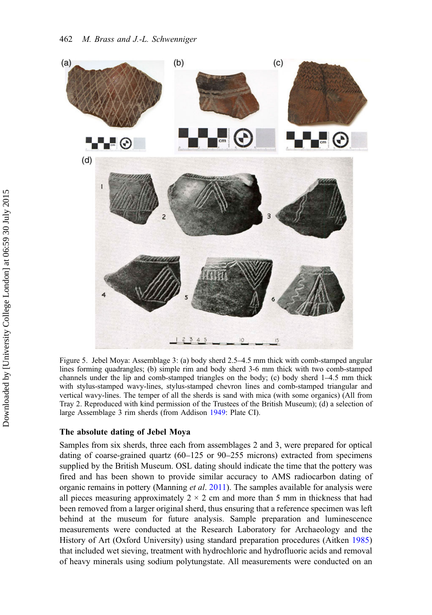<span id="page-9-0"></span>

Figure 5. Jebel Moya: Assemblage 3: (a) body sherd 2.5–4.5 mm thick with comb-stamped angular lines forming quadrangles; (b) simple rim and body sherd 3-6 mm thick with two comb-stamped channels under the lip and comb-stamped triangles on the body; (c) body sherd 1–4.5 mm thick with stylus-stamped wavy-lines, stylus-stamped chevron lines and comb-stamped triangular and vertical wavy-lines. The temper of all the sherds is sand with mica (with some organics) (All from Tray 2. Reproduced with kind permission of the Trustees of the British Museum); (d) a selection of large Assemblage 3 rim sherds (from Addison [1949:](#page-18-0) Plate CI).

# The absolute dating of Jebel Moya

Samples from six sherds, three each from assemblages 2 and 3, were prepared for optical dating of coarse-grained quartz (60–125 or 90–255 microns) extracted from specimens supplied by the British Museum. OSL dating should indicate the time that the pottery was fired and has been shown to provide similar accuracy to AMS radiocarbon dating of organic remains in pottery (Manning  $et al. 2011$ ). The samples available for analysis were all pieces measuring approximately  $2 \times 2$  cm and more than 5 mm in thickness that had been removed from a larger original sherd, thus ensuring that a reference specimen was left behind at the museum for future analysis. Sample preparation and luminescence measurements were conducted at the Research Laboratory for Archaeology and the History of Art (Oxford University) using standard preparation procedures (Aitken [1985\)](#page-18-0) that included wet sieving, treatment with hydrochloric and hydrofluoric acids and removal of heavy minerals using sodium polytungstate. All measurements were conducted on an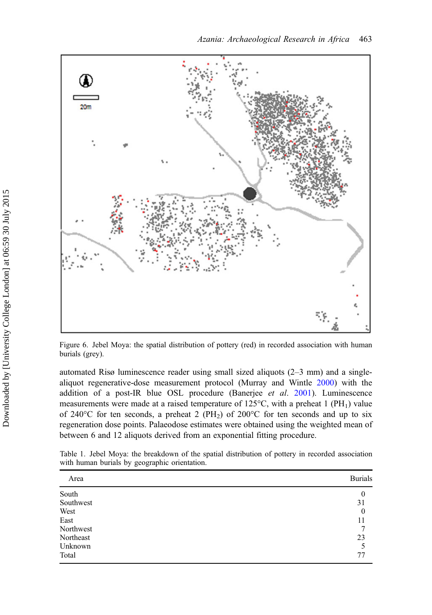<span id="page-10-0"></span>

Figure 6. Jebel Moya: the spatial distribution of pottery (red) in recorded association with human burials (grey).

automated Risø luminescence reader using small sized aliquots (2–3 mm) and a singlealiquot regenerative-dose measurement protocol (Murray and Wintle [2000\)](#page-19-0) with the addition of a post-IR blue OSL procedure (Banerjee et al. [2001](#page-18-0)). Luminescence measurements were made at a raised temperature of  $125^{\circ}$ C, with a preheat 1 (PH<sub>1</sub>) value of 240 $\degree$ C for ten seconds, a preheat 2 (PH<sub>2</sub>) of 200 $\degree$ C for ten seconds and up to six regeneration dose points. Palaeodose estimates were obtained using the weighted mean of between 6 and 12 aliquots derived from an exponential fitting procedure.

Table 1. Jebel Moya: the breakdown of the spatial distribution of pottery in recorded association with human burials by geographic orientation.

| Area      | <b>Burials</b>   |
|-----------|------------------|
| South     | 0                |
| Southwest | 31               |
| West      | $\boldsymbol{0}$ |
| East      | 11               |
| Northwest | 7                |
| Northeast | 23               |
| Unknown   |                  |
| Total     | 77               |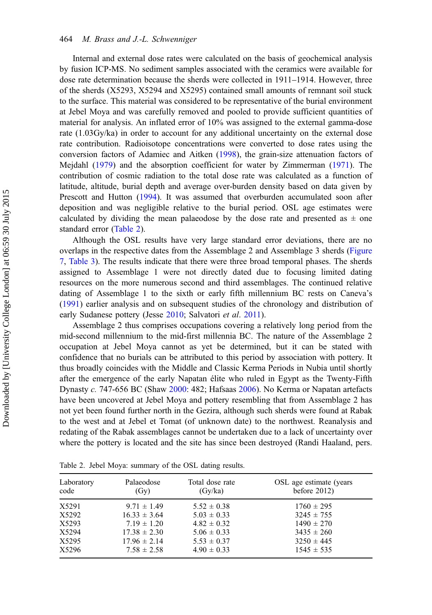Internal and external dose rates were calculated on the basis of geochemical analysis by fusion ICP-MS. No sediment samples associated with the ceramics were available for dose rate determination because the sherds were collected in 1911–1914. However, three of the sherds (X5293, X5294 and X5295) contained small amounts of remnant soil stuck to the surface. This material was considered to be representative of the burial environment at Jebel Moya and was carefully removed and pooled to provide sufficient quantities of material for analysis. An inflated error of 10% was assigned to the external gamma-dose rate (1.03Gy/ka) in order to account for any additional uncertainty on the external dose rate contribution. Radioisotope concentrations were converted to dose rates using the conversion factors of Adamiec and Aitken [\(1998](#page-18-0)), the grain-size attenuation factors of Mejdahl ([1979\)](#page-19-0) and the absorption coefficient for water by Zimmerman [\(1971](#page-19-0)). The contribution of cosmic radiation to the total dose rate was calculated as a function of latitude, altitude, burial depth and average over-burden density based on data given by Prescott and Hutton [\(1994](#page-19-0)). It was assumed that overburden accumulated soon after deposition and was negligible relative to the burial period. OSL age estimates were calculated by dividing the mean palaeodose by the dose rate and presented as  $\pm$  one standard error (Table 2).

Although the OSL results have very large standard error deviations, there are no overlaps in the respective dates from the Assemblage 2 and Assemblage 3 sherds [\(Figure](#page-12-0) [7](#page-12-0), [Table 3\)](#page-12-0). The results indicate that there were three broad temporal phases. The sherds assigned to Assemblage 1 were not directly dated due to focusing limited dating resources on the more numerous second and third assemblages. The continued relative dating of Assemblage 1 to the sixth or early fifth millennium BC rests on Caneva's [\(1991](#page-18-0)) earlier analysis and on subsequent studies of the chronology and distribution of early Sudanese pottery (Jesse [2010;](#page-19-0) Salvatori et al. [2011](#page-19-0)).

Assemblage 2 thus comprises occupations covering a relatively long period from the mid-second millennium to the mid-first millennia BC. The nature of the Assemblage 2 occupation at Jebel Moya cannot as yet be determined, but it can be stated with confidence that no burials can be attributed to this period by association with pottery. It thus broadly coincides with the Middle and Classic Kerma Periods in Nubia until shortly after the emergence of the early Napatan élite who ruled in Egypt as the Twenty-Fifth Dynasty c. 747-656 BC (Shaw [2000](#page-19-0): 482; Hafsaas [2006\)](#page-19-0). No Kerma or Napatan artefacts have been uncovered at Jebel Moya and pottery resembling that from Assemblage 2 has not yet been found further north in the Gezira, although such sherds were found at Rabak to the west and at Jebel et Tomat (of unknown date) to the northwest. Reanalysis and redating of the Rabak assemblages cannot be undertaken due to a lack of uncertainty over where the pottery is located and the site has since been destroyed (Randi Haaland, pers.

| Laboratory<br>code | Palaeodose<br>(Gy) | Total dose rate<br>(Gy/ka) | OSL age estimate (years)<br>before $2012$ ) |
|--------------------|--------------------|----------------------------|---------------------------------------------|
| X5291              | $9.71 \pm 1.49$    | $5.52 \pm 0.38$            | $1760 \pm 295$                              |
| X5292              | $16.33 \pm 3.64$   | $5.03 \pm 0.33$            | $3245 \pm 755$                              |
| X5293              | $7.19 \pm 1.20$    | $4.82 \pm 0.32$            | $1490 \pm 270$                              |
| X5294              | $17.38 \pm 2.30$   | $5.06 \pm 0.33$            | $3435 \pm 260$                              |
| X5295              | $17.96 \pm 2.14$   | $5.53 \pm 0.37$            | $3250 \pm 445$                              |
| X5296              | $7.58 \pm 2.58$    | $4.90 \pm 0.33$            | $1545 \pm 535$                              |

Table 2. Jebel Moya: summary of the OSL dating results.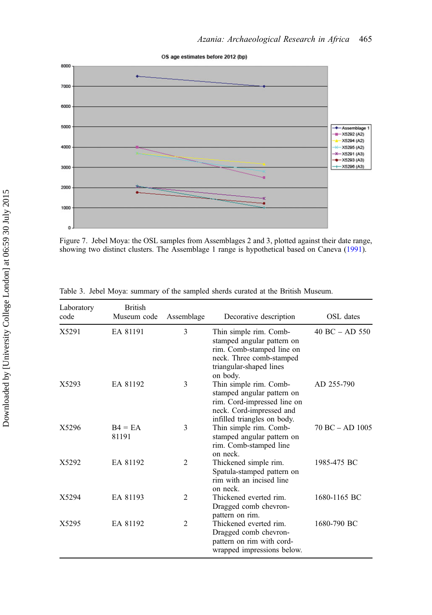<span id="page-12-0"></span>

Figure 7. Jebel Moya: the OSL samples from Assemblages 2 and 3, plotted against their date range, showing two distinct clusters. The Assemblage 1 range is hypothetical based on Caneva ([1991\)](#page-18-0).

| Laboratory<br>code | <b>British</b><br>Museum code | Assemblage     | Decorative description                                                                                                                               | OSL dates             |
|--------------------|-------------------------------|----------------|------------------------------------------------------------------------------------------------------------------------------------------------------|-----------------------|
| X5291              | EA 81191                      | 3              | Thin simple rim. Comb-<br>stamped angular pattern on<br>rim. Comb-stamped line on<br>neck. Three comb-stamped<br>triangular-shaped lines<br>on body. | $40$ BC $-$ AD 550    |
| X5293              | EA 81192                      | 3              | Thin simple rim. Comb-<br>stamped angular pattern on<br>rim. Cord-impressed line on<br>neck. Cord-impressed and<br>infilled triangles on body.       | AD 255-790            |
| X5296              | $B4 = EA$<br>81191            | 3              | Thin simple rim. Comb-<br>stamped angular pattern on<br>rim. Comb-stamped line<br>on neck.                                                           | $70$ BC $-$ AD $1005$ |
| X5292              | EA 81192                      | $\overline{2}$ | Thickened simple rim.<br>Spatula-stamped pattern on<br>rim with an incised line<br>on neck.                                                          | 1985-475 BC           |
| X5294              | EA 81193                      | $\overline{2}$ | Thickened everted rim.<br>Dragged comb chevron-<br>pattern on rim.                                                                                   | 1680-1165 BC          |
| X5295              | EA 81192                      | $\overline{2}$ | Thickened everted rim.<br>Dragged comb chevron-<br>pattern on rim with cord-<br>wrapped impressions below.                                           | 1680-790 BC           |

Table 3. Jebel Moya: summary of the sampled sherds curated at the British Museum.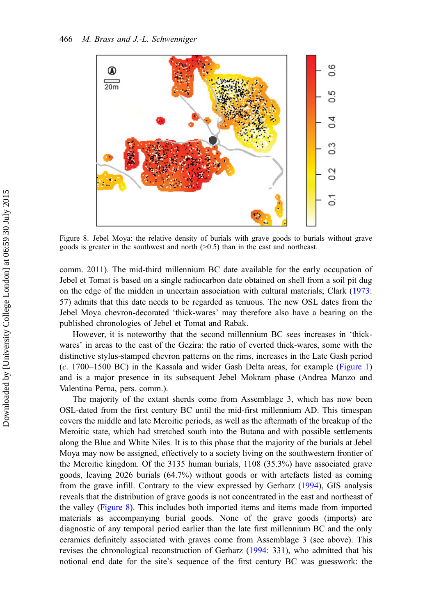

Figure 8. Jebel Moya: the relative density of burials with grave goods to burials without grave goods is greater in the southwest and north (>0.5) than in the east and northeast.

comm. 2011). The mid-third millennium BC date available for the early occupation of Jebel et Tomat is based on a single radiocarbon date obtained on shell from a soil pit dug on the edge of the midden in uncertain association with cultural materials; Clark ([1973](#page-18-0): 57) admits that this date needs to be regarded as tenuous. The new OSL dates from the Jebel Moya chevron-decorated 'thick-wares' may therefore also have a bearing on the published chronologies of Jebel et Tomat and Rabak.

However, it is noteworthy that the second millennium BC sees increases in 'thickwares' in areas to the east of the Gezira: the ratio of everted thick-wares, some with the distinctive stylus-stamped chevron patterns on the rims, increases in the Late Gash period (c. 1700–1500 BC) in the Kassala and wider Gash Delta areas, for example [\(Figure 1\)](#page-3-0) and is a major presence in its subsequent Jebel Mokram phase (Andrea Manzo and Valentina Perna, pers. comm.).

The majority of the extant sherds come from Assemblage 3, which has now been OSL-dated from the first century BC until the mid-first millennium AD. This timespan covers the middle and late Meroitic periods, as well as the aftermath of the breakup of the Meroitic state, which had stretched south into the Butana and with possible settlements along the Blue and White Niles. It is to this phase that the majority of the burials at Jebel Moya may now be assigned, effectively to a society living on the southwestern frontier of the Meroitic kingdom. Of the 3135 human burials, 1108 (35.3%) have associated grave goods, leaving 2026 burials (64.7%) without goods or with artefacts listed as coming from the grave infill. Contrary to the view expressed by Gerharz ([1994\)](#page-18-0), GIS analysis reveals that the distribution of grave goods is not concentrated in the east and northeast of the valley (Figure 8). This includes both imported items and items made from imported materials as accompanying burial goods. None of the grave goods (imports) are diagnostic of any temporal period earlier than the late first millennium BC and the only ceramics definitely associated with graves come from Assemblage 3 (see above). This revises the chronological reconstruction of Gerharz ([1994:](#page-18-0) 331), who admitted that his notional end date for the site's sequence of the first century BC was guesswork: the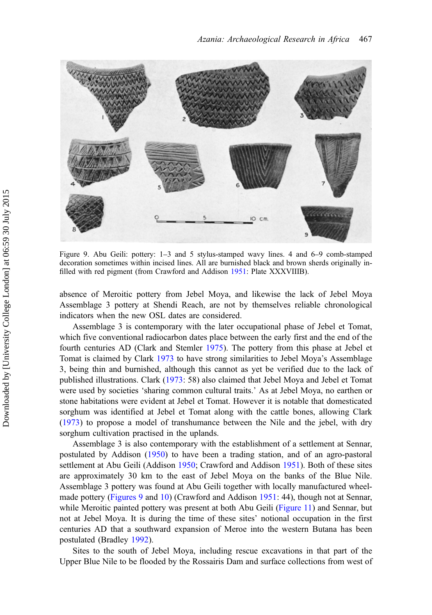

Figure 9. Abu Geili: pottery: 1–3 and 5 stylus-stamped wavy lines. 4 and 6–9 comb-stamped decoration sometimes within incised lines. All are burnished black and brown sherds originally infilled with red pigment (from Crawford and Addison [1951](#page-18-0): Plate XXXVIIIB).

absence of Meroitic pottery from Jebel Moya, and likewise the lack of Jebel Moya Assemblage 3 pottery at Shendi Reach, are not by themselves reliable chronological indicators when the new OSL dates are considered.

Assemblage 3 is contemporary with the later occupational phase of Jebel et Tomat, which five conventional radiocarbon dates place between the early first and the end of the fourth centuries AD (Clark and Stemler [1975](#page-18-0)). The pottery from this phase at Jebel et Tomat is claimed by Clark [1973](#page-18-0) to have strong similarities to Jebel Moya's Assemblage 3, being thin and burnished, although this cannot as yet be verified due to the lack of published illustrations. Clark [\(1973](#page-18-0): 58) also claimed that Jebel Moya and Jebel et Tomat were used by societies 'sharing common cultural traits.' As at Jebel Moya, no earthen or stone habitations were evident at Jebel et Tomat. However it is notable that domesticated sorghum was identified at Jebel et Tomat along with the cattle bones, allowing Clark [\(1973](#page-18-0)) to propose a model of transhumance between the Nile and the jebel, with dry sorghum cultivation practised in the uplands.

Assemblage 3 is also contemporary with the establishment of a settlement at Sennar, postulated by Addison ([1950\)](#page-18-0) to have been a trading station, and of an agro-pastoral settlement at Abu Geili (Addison [1950](#page-18-0); Crawford and Addison [1951\)](#page-18-0). Both of these sites are approximately 30 km to the east of Jebel Moya on the banks of the Blue Nile. Assemblage 3 pottery was found at Abu Geili together with locally manufactured wheelmade pottery (Figures 9 and [10](#page-15-0)) (Crawford and Addison [1951](#page-18-0): 44), though not at Sennar, while Meroitic painted pottery was present at both Abu Geili [\(Figure 11\)](#page-15-0) and Sennar, but not at Jebel Moya. It is during the time of these sites' notional occupation in the first centuries AD that a southward expansion of Meroe into the western Butana has been postulated (Bradley [1992\)](#page-18-0).

Sites to the south of Jebel Moya, including rescue excavations in that part of the Upper Blue Nile to be flooded by the Rossairis Dam and surface collections from west of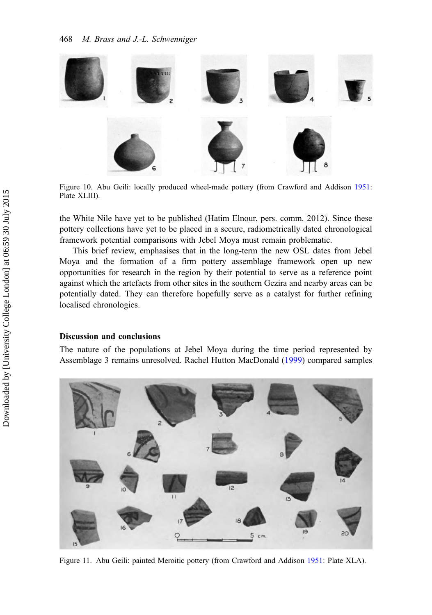<span id="page-15-0"></span>

Figure 10. Abu Geili: locally produced wheel-made pottery (from Crawford and Addison [1951:](#page-18-0) Plate XLIII).

the White Nile have yet to be published (Hatim Elnour, pers. comm. 2012). Since these pottery collections have yet to be placed in a secure, radiometrically dated chronological framework potential comparisons with Jebel Moya must remain problematic.

This brief review, emphasises that in the long-term the new OSL dates from Jebel Moya and the formation of a firm pottery assemblage framework open up new opportunities for research in the region by their potential to serve as a reference point against which the artefacts from other sites in the southern Gezira and nearby areas can be potentially dated. They can therefore hopefully serve as a catalyst for further refining localised chronologies.

# Discussion and conclusions

The nature of the populations at Jebel Moya during the time period represented by Assemblage 3 remains unresolved. Rachel Hutton MacDonald [\(1999](#page-19-0)) compared samples



Figure 11. Abu Geili: painted Meroitic pottery (from Crawford and Addison [1951:](#page-18-0) Plate XLA).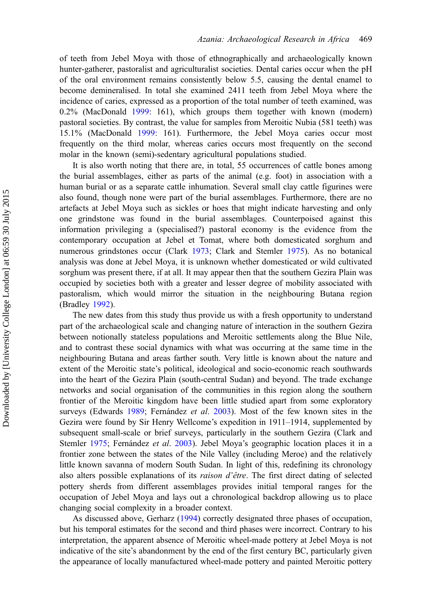of teeth from Jebel Moya with those of ethnographically and archaeologically known hunter-gatherer, pastoralist and agriculturalist societies. Dental caries occur when the pH of the oral environment remains consistently below 5.5, causing the dental enamel to become demineralised. In total she examined 2411 teeth from Jebel Moya where the incidence of caries, expressed as a proportion of the total number of teeth examined, was 0.2% (MacDonald [1999](#page-19-0): 161), which groups them together with known (modern) pastoral societies. By contrast, the value for samples from Meroitic Nubia (581 teeth) was 15.1% (MacDonald [1999](#page-19-0): 161). Furthermore, the Jebel Moya caries occur most frequently on the third molar, whereas caries occurs most frequently on the second molar in the known (semi)-sedentary agricultural populations studied.

It is also worth noting that there are, in total, 55 occurrences of cattle bones among the burial assemblages, either as parts of the animal (e.g. foot) in association with a human burial or as a separate cattle inhumation. Several small clay cattle figurines were also found, though none were part of the burial assemblages. Furthermore, there are no artefacts at Jebel Moya such as sickles or hoes that might indicate harvesting and only one grindstone was found in the burial assemblages. Counterpoised against this information privileging a (specialised?) pastoral economy is the evidence from the contemporary occupation at Jebel et Tomat, where both domesticated sorghum and numerous grindstones occur (Clark [1973](#page-18-0); Clark and Stemler [1975\)](#page-18-0). As no botanical analysis was done at Jebel Moya, it is unknown whether domesticated or wild cultivated sorghum was present there, if at all. It may appear then that the southern Gezira Plain was occupied by societies both with a greater and lesser degree of mobility associated with pastoralism, which would mirror the situation in the neighbouring Butana region (Bradley [1992\)](#page-18-0).

The new dates from this study thus provide us with a fresh opportunity to understand part of the archaeological scale and changing nature of interaction in the southern Gezira between notionally stateless populations and Meroitic settlements along the Blue Nile, and to contrast these social dynamics with what was occurring at the same time in the neighbouring Butana and areas farther south. Very little is known about the nature and extent of the Meroitic state's political, ideological and socio-economic reach southwards into the heart of the Gezira Plain (south-central Sudan) and beyond. The trade exchange networks and social organisation of the communities in this region along the southern frontier of the Meroitic kingdom have been little studied apart from some exploratory surveys (Edwards [1989](#page-18-0); Fernández et al. [2003\)](#page-18-0). Most of the few known sites in the Gezira were found by Sir Henry Wellcome's expedition in 1911–1914, supplemented by subsequent small-scale or brief surveys, particularly in the southern Gezira (Clark and Stemler [1975;](#page-18-0) Fernández et al. [2003\)](#page-18-0). Jebel Moya's geographic location places it in a frontier zone between the states of the Nile Valley (including Meroe) and the relatively little known savanna of modern South Sudan. In light of this, redefining its chronology also alters possible explanations of its raison d'être. The first direct dating of selected pottery sherds from different assemblages provides initial temporal ranges for the occupation of Jebel Moya and lays out a chronological backdrop allowing us to place changing social complexity in a broader context.

As discussed above, Gerharz ([1994\)](#page-18-0) correctly designated three phases of occupation, but his temporal estimates for the second and third phases were incorrect. Contrary to his interpretation, the apparent absence of Meroitic wheel-made pottery at Jebel Moya is not indicative of the site's abandonment by the end of the first century BC, particularly given the appearance of locally manufactured wheel-made pottery and painted Meroitic pottery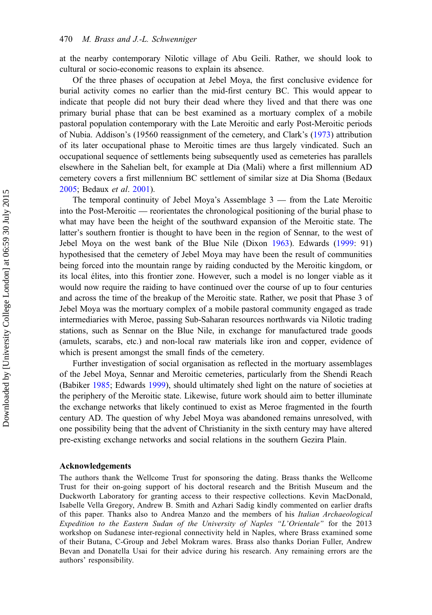at the nearby contemporary Nilotic village of Abu Geili. Rather, we should look to cultural or socio-economic reasons to explain its absence.

Of the three phases of occupation at Jebel Moya, the first conclusive evidence for burial activity comes no earlier than the mid-first century BC. This would appear to indicate that people did not bury their dead where they lived and that there was one primary burial phase that can be best examined as a mortuary complex of a mobile pastoral population contemporary with the Late Meroitic and early Post-Meroitic periods of Nubia. Addison's (19560 reassignment of the cemetery, and Clark's ([1973\)](#page-18-0) attribution of its later occupational phase to Meroitic times are thus largely vindicated. Such an occupational sequence of settlements being subsequently used as cemeteries has parallels elsewhere in the Sahelian belt, for example at Dia (Mali) where a first millennium AD cemetery covers a first millennium BC settlement of similar size at Dia Shoma (Bedaux [2005;](#page-18-0) Bedaux et al. [2001\)](#page-18-0).

The temporal continuity of Jebel Moya's Assemblage 3 — from the Late Meroitic into the Post-Meroitic — reorientates the chronological positioning of the burial phase to what may have been the height of the southward expansion of the Meroitic state. The latter's southern frontier is thought to have been in the region of Sennar, to the west of Jebel Moya on the west bank of the Blue Nile (Dixon [1963\)](#page-18-0). Edwards [\(1999](#page-18-0): 91) hypothesised that the cemetery of Jebel Moya may have been the result of communities being forced into the mountain range by raiding conducted by the Meroitic kingdom, or its local élites, into this frontier zone. However, such a model is no longer viable as it would now require the raiding to have continued over the course of up to four centuries and across the time of the breakup of the Meroitic state. Rather, we posit that Phase 3 of Jebel Moya was the mortuary complex of a mobile pastoral community engaged as trade intermediaries with Meroe, passing Sub-Saharan resources northwards via Nilotic trading stations, such as Sennar on the Blue Nile, in exchange for manufactured trade goods (amulets, scarabs, etc.) and non-local raw materials like iron and copper, evidence of which is present amongst the small finds of the cemetery.

Further investigation of social organisation as reflected in the mortuary assemblages of the Jebel Moya, Sennar and Meroitic cemeteries, particularly from the Shendi Reach (Babiker [1985;](#page-18-0) Edwards [1999](#page-18-0)), should ultimately shed light on the nature of societies at the periphery of the Meroitic state. Likewise, future work should aim to better illuminate the exchange networks that likely continued to exist as Meroe fragmented in the fourth century AD. The question of why Jebel Moya was abandoned remains unresolved, with one possibility being that the advent of Christianity in the sixth century may have altered pre-existing exchange networks and social relations in the southern Gezira Plain.

#### Acknowledgements

The authors thank the Wellcome Trust for sponsoring the dating. Brass thanks the Wellcome Trust for their on-going support of his doctoral research and the British Museum and the Duckworth Laboratory for granting access to their respective collections. Kevin MacDonald, Isabelle Vella Gregory, Andrew B. Smith and Azhari Sadig kindly commented on earlier drafts of this paper. Thanks also to Andrea Manzo and the members of his Italian Archaeological Expedition to the Eastern Sudan of the University of Naples "L'Orientale" for the 2013 workshop on Sudanese inter-regional connectivity held in Naples, where Brass examined some of their Butana, C-Group and Jebel Mokram wares. Brass also thanks Dorian Fuller, Andrew Bevan and Donatella Usai for their advice during his research. Any remaining errors are the authors' responsibility.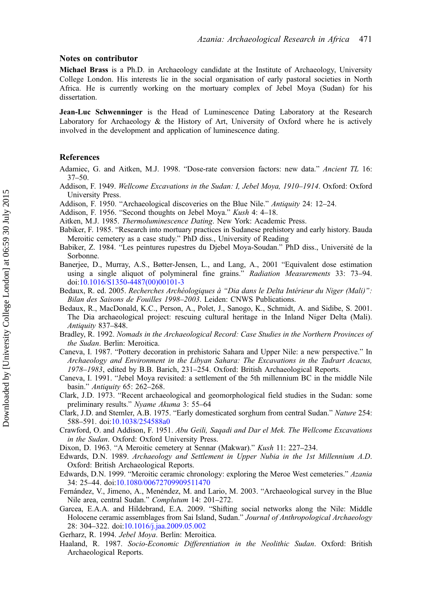## <span id="page-18-0"></span>Notes on contributor

Michael Brass is a Ph.D. in Archaeology candidate at the Institute of Archaeology, University College London. His interests lie in the social organisation of early pastoral societies in North Africa. He is currently working on the mortuary complex of Jebel Moya (Sudan) for his dissertation.

Jean-Luc Schwenninger is the Head of Luminescence Dating Laboratory at the Research Laboratory for Archaeology  $\&$  the History of Art, University of Oxford where he is actively involved in the development and application of luminescence dating.

### References

- Adamiec, G. and Aitken, M.J. 1998. "Dose-rate conversion factors: new data." Ancient TL 16: 37–50.
- Addison, F. 1949. Wellcome Excavations in the Sudan: I, Jebel Moya, 1910–1914. Oxford: Oxford University Press.
- Addison, F. 1950. "Archaeological discoveries on the Blue Nile." Antiquity 24: 12–24.
- Addison, F. 1956. "Second thoughts on Jebel Moya." Kush 4: 4–18.
- Aitken, M.J. 1985. Thermoluminescence Dating. New York: Academic Press.
- Babiker, F. 1985. "Research into mortuary practices in Sudanese prehistory and early history. Bauda Meroitic cemetery as a case study." PhD diss., University of Reading
- Babiker, Z. 1984. "Les peintures rupestres du Djebel Moya-Soudan." PhD diss., Université de la Sorbonne.
- Banerjee, D., Murray, A.S., Bøtter-Jensen, L., and Lang, A., 2001 "Equivalent dose estimation using a single aliquot of polymineral fine grains." Radiation Measurements 33: 73–94. doi:[10.1016/S1350-4487\(00\)00101-3](http://dx.doi.org/10.1016/S1350-4487(00)00101-3)
- Bedaux, R. ed. 2005. Recherches Archéologiques à "Dia dans le Delta Intérieur du Niger (Mali)": Bilan des Saisons de Fouilles 1998–2003. Leiden: CNWS Publications.
- Bedaux, R., MacDonald, K.C., Person, A., Polet, J., Sanogo, K., Schmidt, A. and Sidibe, S. 2001. The Dia archaeological project: rescuing cultural heritage in the Inland Niger Delta (Mali). Antiquity 837–848.
- Bradley, R. 1992. Nomads in the Archaeological Record: Case Studies in the Northern Provinces of the Sudan. Berlin: Meroitica.
- Caneva, I. 1987. "Pottery decoration in prehistoric Sahara and Upper Nile: a new perspective." In Archaeology and Environment in the Libyan Sahara: The Excavations in the Tadrart Acacus, 1978–1983, edited by B.B. Barich, 231–254. Oxford: British Archaeological Reports.
- Caneva, I. 1991. "Jebel Moya revisited: a settlement of the 5th millennium BC in the middle Nile basin." Antiquity 65: 262–268.
- Clark, J.D. 1973. "Recent archaeological and geomorphological field studies in the Sudan: some preliminary results." Nyame Akuma 3: 55-64
- Clark, J.D. and Stemler, A.B. 1975. "Early domesticated sorghum from central Sudan." Nature 254: 588–591. doi[:10.1038/254588a0](http://dx.doi.org/10.1038/254588a0)
- Crawford, O. and Addison, F. 1951. Abu Geili, Saqadi and Dar el Mek. The Wellcome Excavations in the Sudan. Oxford: Oxford University Press.
- Dixon, D. 1963. "A Meroitic cemetery at Sennar (Makwar)." Kush 11: 227–234.
- Edwards, D.N. 1989. Archaeology and Settlement in Upper Nubia in the 1st Millennium A.D. Oxford: British Archaeological Reports.
- Edwards, D.N. 1999. "Meroitic ceramic chronology: exploring the Meroe West cemeteries." Azania 34: 25–44. doi:[10.1080/00672709909511470](http://dx.doi.org/10.1080/00672709909511470)
- Fernández, V., Jimeno, A., Menėndez, M. and Lario, M. 2003. "Archaeological survey in the Blue Nile area, central Sudan." Complutum 14: 201–272.
- Garcea, E.A.A. and Hildebrand, E.A. 2009. "Shifting social networks along the Nile: Middle Holocene ceramic assemblages from Sai Island, Sudan." Journal of Anthropological Archaeology 28: 304–322. doi:[10.1016/j.jaa.2009.05.002](http://dx.doi.org/10.1016/j.jaa.2009.05.002)
- Gerharz, R. 1994. Jebel Moya. Berlin: Meroitica.
- Haaland, R. 1987. Socio-Economic Differentiation in the Neolithic Sudan. Oxford: British Archaeological Reports.